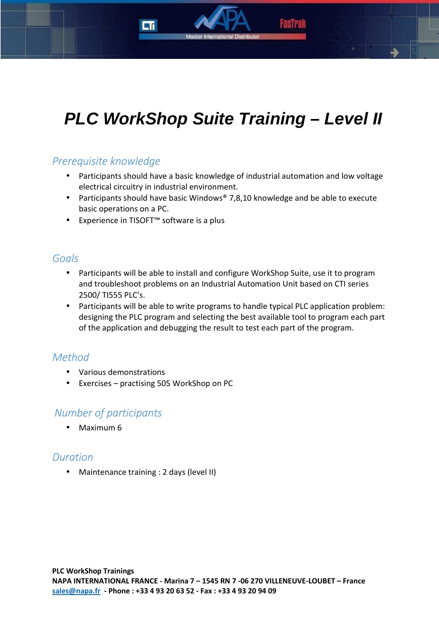# **PLC WorkShop Suite Training – Level II**

### *Prerequisite knowledge*

- Participants should have a basic knowledge of industrial automation and low voltage electrical circuitry in industrial environment.
- Participants should have basic Windows® 7,8,10 knowledge and be able to execute basic operations on a PC.
- Experience in TISOFT™ software is a plus

#### *Goals*

- Participants will be able to install and configure WorkShop Suite, use it to program and troubleshoot problems on an Industrial Automation Unit based on CTI series 2500/ TI555 PLC's.
- Participants will be able to write programs to handle typical PLC application problem: designing the PLC program and selecting the best available tool to program each part of the application and debugging the result to test each part of the program.

### *Method*

- Various demonstrations
- Exercises practising 505 WorkShop on PC

### *Number of participants*

• Maximum 6

### *Duration*

• Maintenance training : 2 days (level II)